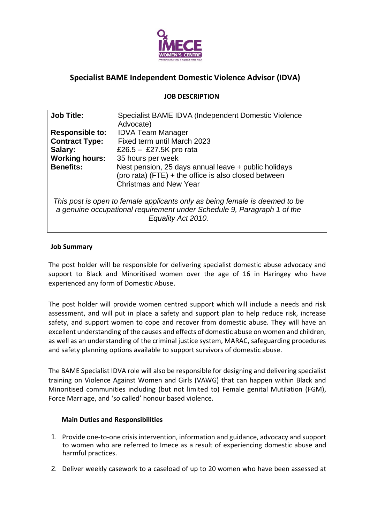

# **Specialist BAME Independent Domestic Violence Advisor (IDVA)**

## **JOB DESCRIPTION**

| <b>Job Title:</b>                                                                                                                                                            | Specialist BAME IDVA (Independent Domestic Violence<br>Advocate)                                                                                       |  |  |  |
|------------------------------------------------------------------------------------------------------------------------------------------------------------------------------|--------------------------------------------------------------------------------------------------------------------------------------------------------|--|--|--|
| <b>Responsible to:</b>                                                                                                                                                       | <b>IDVA Team Manager</b>                                                                                                                               |  |  |  |
| <b>Contract Type:</b>                                                                                                                                                        | Fixed term until March 2023                                                                                                                            |  |  |  |
| Salary:                                                                                                                                                                      | £26.5 $-$ £27.5K pro rata                                                                                                                              |  |  |  |
| <b>Working hours:</b>                                                                                                                                                        | 35 hours per week                                                                                                                                      |  |  |  |
| <b>Benefits:</b>                                                                                                                                                             | Nest pension, 25 days annual leave + public holidays<br>$(\text{pro rata})$ (FTE) + the office is also closed between<br><b>Christmas and New Year</b> |  |  |  |
| This post is open to female applicants only as being female is deemed to be<br>a genuine occupational requirement under Schedule 9, Paragraph 1 of the<br>Equality Act 2010. |                                                                                                                                                        |  |  |  |

### **Job Summary**

The post holder will be responsible for delivering specialist domestic abuse advocacy and support to Black and Minoritised women over the age of 16 in Haringey who have experienced any form of Domestic Abuse.

The post holder will provide women centred support which will include a needs and risk assessment, and will put in place a safety and support plan to help reduce risk, increase safety, and support women to cope and recover from domestic abuse. They will have an excellent understanding of the causes and effects of domestic abuse on women and children, as well as an understanding of the criminal justice system, MARAC, safeguarding procedures and safety planning options available to support survivors of domestic abuse.

The BAME Specialist IDVA role will also be responsible for designing and delivering specialist training on Violence Against Women and Girls (VAWG) that can happen within Black and Minoritised communities including (but not limited to) Female genital Mutilation (FGM), Force Marriage, and 'so called' honour based violence.

#### **Main Duties and Responsibilities**

- 1. Provide one-to-one crisis intervention, information and guidance, advocacy and support to women who are referred to Imece as a result of experiencing domestic abuse and harmful practices.
- 2. Deliver weekly casework to a caseload of up to 20 women who have been assessed at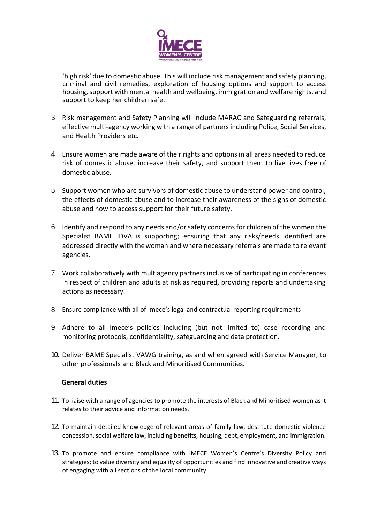

'high risk' due to domestic abuse. This will include risk management and safety planning, criminal and civil remedies, exploration of housing options and support to access housing, support with mental health and wellbeing, immigration and welfare rights, and support to keep her children safe.

- 3. Risk management and Safety Planning will include MARAC and Safeguarding referrals, effective multi-agency working with a range of partners including Police, Social Services, and Health Providers etc.
- 4. Ensure women are made aware of their rights and options in all areas needed to reduce risk of domestic abuse, increase their safety, and support them to live lives free of domestic abuse.
- 5. Support women who are survivors of domestic abuse to understand power and control, the effects of domestic abuse and to increase their awareness of the signs of domestic abuse and how to access support for their future safety.
- 6. Identify and respond to any needs and/orsafety concerns for children of the women the Specialist BAME IDVA is supporting; ensuring that any risks/needs identified are addressed directly with thewoman and where necessary referrals are made to relevant agencies.
- 7. Work collaboratively with multiagency partners inclusive of participating in conferences in respect of children and adults at risk as required, providing reports and undertaking actions as necessary.
- 8. Ensure compliance with all of Imece's legal and contractual reporting requirements
- 9. Adhere to all Imece's policies including (but not limited to) case recording and monitoring protocols, confidentiality, safeguarding and data protection.
- 10. Deliver BAME Specialist VAWG training, as and when agreed with Service Manager, to other professionals and Black and Minoritised Communities.

#### **General duties**

- 11. To liaise with a range of agencies to promote the interests of Black and Minoritised women as it relates to their advice and information needs.
- 12. To maintain detailed knowledge of relevant areas of family law, destitute domestic violence concession, social welfare law, including benefits, housing, debt, employment, and immigration.
- 13. To promote and ensure compliance with IMECE Women's Centre's Diversity Policy and strategies; to value diversity and equality of opportunities and find innovative and creative ways of engaging with all sections of the local community.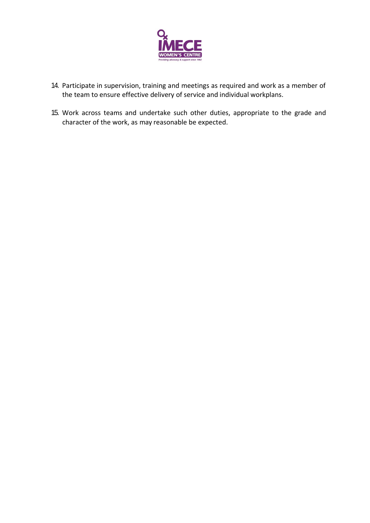

- 14. Participate in supervision, training and meetings as required and work as a member of the team to ensure effective delivery of service and individual workplans.
- 15. Work across teams and undertake such other duties, appropriate to the grade and character of the work, as may reasonable be expected.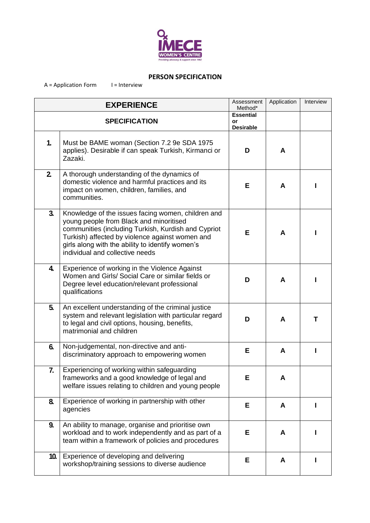

### **PERSON SPECIFICATION**

 $A = Application Form$   $I = Interview$ 

| <b>EXPERIENCE</b>    |                                                                                                                                                                                                                                                                                                | Assessment<br>Method*                      | Application | Interview |
|----------------------|------------------------------------------------------------------------------------------------------------------------------------------------------------------------------------------------------------------------------------------------------------------------------------------------|--------------------------------------------|-------------|-----------|
| <b>SPECIFICATION</b> |                                                                                                                                                                                                                                                                                                | <b>Essential</b><br>or<br><b>Desirable</b> |             |           |
| 1.                   | Must be BAME woman (Section 7.2 9e SDA 1975)<br>applies). Desirable if can speak Turkish, Kirmanci or<br>Zazaki.                                                                                                                                                                               | D                                          | A           |           |
| 2 <sub>1</sub>       | A thorough understanding of the dynamics of<br>domestic violence and harmful practices and its<br>impact on women, children, families, and<br>communities.                                                                                                                                     | Е                                          | A           |           |
| 3 <sub>1</sub>       | Knowledge of the issues facing women, children and<br>young people from Black and minoritised<br>communities (including Turkish, Kurdish and Cypriot<br>Turkish) affected by violence against women and<br>girls along with the ability to identify women's<br>individual and collective needs | Е                                          | A           |           |
| $\overline{4}$       | Experience of working in the Violence Against<br>Women and Girls/ Social Care or similar fields or<br>Degree level education/relevant professional<br>qualifications                                                                                                                           | D                                          | A           |           |
| 5.                   | An excellent understanding of the criminal justice<br>system and relevant legislation with particular regard<br>to legal and civil options, housing, benefits,<br>matrimonial and children                                                                                                     | D                                          | A           | т         |
| 6.                   | Non-judgemental, non-directive and anti-<br>discriminatory approach to empowering women                                                                                                                                                                                                        | Е                                          | A           |           |
| 7.                   | Experiencing of working within safeguarding<br>frameworks and a good knowledge of legal and<br>welfare issues relating to children and young people                                                                                                                                            | Е                                          | A           |           |
| 8.                   | Experience of working in partnership with other<br>agencies                                                                                                                                                                                                                                    | Е                                          | A           |           |
| 9.                   | An ability to manage, organise and prioritise own<br>workload and to work independently and as part of a<br>team within a framework of policies and procedures                                                                                                                                 | Е                                          | A           |           |
| 10.                  | Experience of developing and delivering<br>workshop/training sessions to diverse audience                                                                                                                                                                                                      | Е                                          | A           |           |